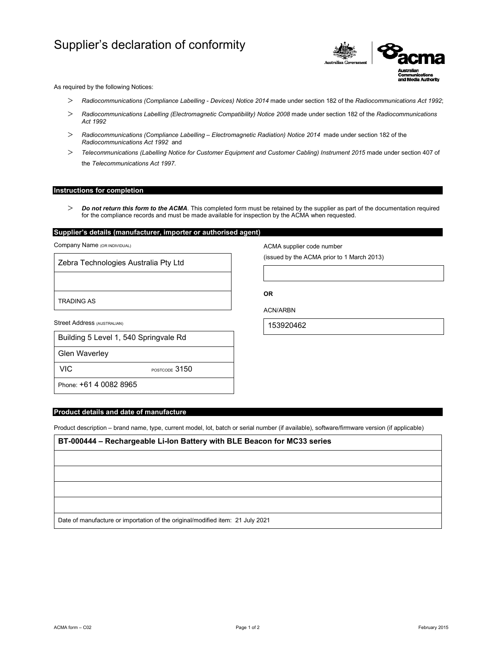# Supplier's declaration of conformity



As required by the following Notices:

- *Radiocommunications (Compliance Labelling Devices) Notice 2014* made under section 182 of the *Radiocommunications Act 1992*;
- *Radiocommunications Labelling (Electromagnetic Compatibility) Notice 2008* made under section 182 of the *Radiocommunications Act 1992*
- *Radiocommunications (Compliance Labelling Electromagnetic Radiation) Notice 2014* made under section 182 of the *Radiocommunications Act 1992* and
- *Telecommunications (Labelling Notice for Customer Equipment and Customer Cabling) Instrument 2015* made under section 407 of the *Telecommunications Act 1997*.

## **Instructions for completion**

 *Do not return this form to the ACMA*. This completed form must be retained by the supplier as part of the documentation required for the compliance records and must be made available for inspection by the ACMA when requested.

# **Supplier's details (manufacturer, importer or authorised agent)**

Company Name (OR INDIVIDUAL)

Zebra Technologies Australia Pty Ltd

TRADING AS

Street Address (AUSTRALIAN)

|  | Building 5 Level 1, 540 Springvale Rd |  |
|--|---------------------------------------|--|
|  |                                       |  |

Glen Waverley

VIC POSTCODE 3150

Phone: +61 4 0082 8965

## **Product details and date of manufacture**

Product description – brand name, type, current model, lot, batch or serial number (if available), software/firmware version (if applicable)

**BT-000444 – Rechargeable Li-Ion Battery with BLE Beacon for MC33 series**

Date of manufacture or importation of the original/modified item: 21 July 2021

ACMA supplier code number

(issued by the ACMA prior to 1 March 2013)

**OR** 

ACN/ARBN

153920462